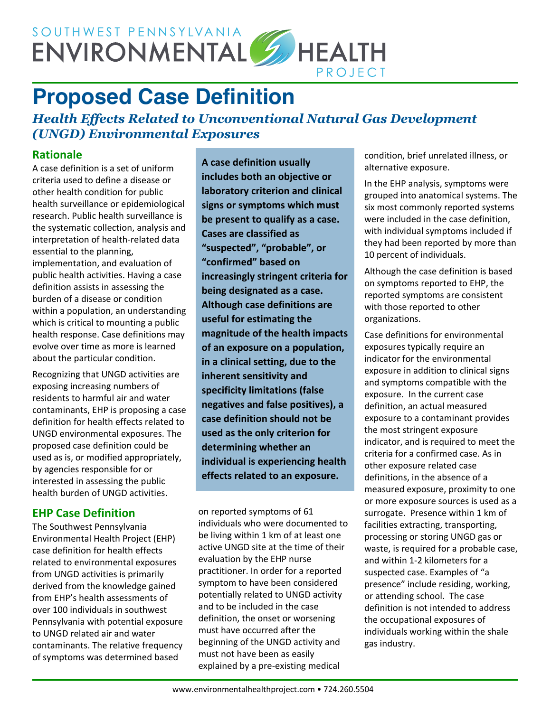

# **Proposed Case Definition**

#### *Health Effects Related to Unconventional Natural Gas Development (UNGD) Environmental Exposures*

#### **Rationale**

A case definition is a set of uniform criteria used to define a disease or other health condition for public health surveillance or epidemiological research. Public health surveillance is the systematic collection, analysis and interpretation of health-related data essential to the planning, implementation, and evaluation of public health activities. Having a case definition assists in assessing the burden of a disease or condition within a population, an understanding which is critical to mounting a public health response. Case definitions may evolve over time as more is learned about the particular condition.

Recognizing that UNGD activities are exposing increasing numbers of residents to harmful air and water contaminants, EHP is proposing a case definition for health effects related to UNGD environmental exposures. The proposed case definition could be used as is, or modified appropriately, by agencies responsible for or interested in assessing the public health burden of UNGD activities.

#### **EHP Case Definition**

The Southwest Pennsylvania Environmental Health Project (EHP) case definition for health effects related to environmental exposures from UNGD activities is primarily derived from the knowledge gained from EHP's health assessments of over 100 individuals in southwest Pennsylvania with potential exposure to UNGD related air and water contaminants. The relative frequency of symptoms was determined based

**A case definition usually includes both an objective or laboratory criterion and clinical signs or symptoms which must be present to qualify as a case. Cases are classified as "suspected", "probable", or "confirmed" based on increasingly stringent criteria for being designated as a case. Although case definitions are useful for estimating the magnitude of the health impacts of an exposure on a population, in a clinical setting, due to the inherent sensitivity and specificity limitations (false negatives and false positives), a case definition should not be used as the only criterion for determining whether an individual is experiencing health effects related to an exposure.**

on reported symptoms of 61 individuals who were documented to be living within 1 km of at least one active UNGD site at the time of their evaluation by the EHP nurse practitioner. In order for a reported symptom to have been considered potentially related to UNGD activity and to be included in the case definition, the onset or worsening must have occurred after the beginning of the UNGD activity and must not have been as easily explained by a pre-existing medical

condition, brief unrelated illness, or alternative exposure.

In the EHP analysis, symptoms were grouped into anatomical systems. The six most commonly reported systems were included in the case definition, with individual symptoms included if they had been reported by more than 10 percent of individuals.

Although the case definition is based on symptoms reported to EHP, the reported symptoms are consistent with those reported to other organizations.

Case definitions for environmental exposures typically require an indicator for the environmental exposure in addition to clinical signs and symptoms compatible with the exposure. In the current case definition, an actual measured exposure to a contaminant provides the most stringent exposure indicator, and is required to meet the criteria for a confirmed case. As in other exposure related case definitions, in the absence of a measured exposure, proximity to one or more exposure sources is used as a surrogate. Presence within 1 km of facilities extracting, transporting, processing or storing UNGD gas or waste, is required for a probable case, and within 1-2 kilometers for a suspected case. Examples of "a presence" include residing, working, or attending school. The case definition is not intended to address the occupational exposures of individuals working within the shale gas industry.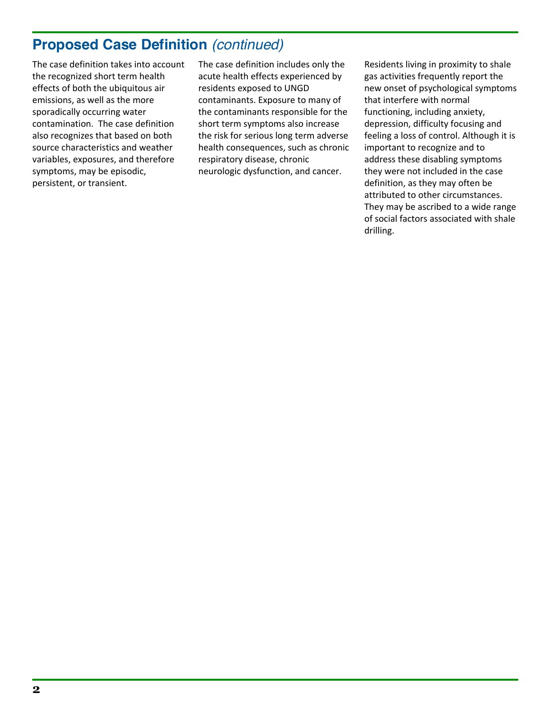## **Proposed Case Definition** *(continued)*

The case definition takes into account the recognized short term health effects of both the ubiquitous air emissions, as well as the more sporadically occurring water contamination. The case definition also recognizes that based on both source characteristics and weather variables, exposures, and therefore symptoms, may be episodic, persistent, or transient.

The case definition includes only the acute health effects experienced by residents exposed to UNGD contaminants. Exposure to many of the contaminants responsible for the short term symptoms also increase the risk for serious long term adverse health consequences, such as chronic respiratory disease, chronic neurologic dysfunction, and cancer.

Residents living in proximity to shale gas activities frequently report the new onset of psychological symptoms that interfere with normal functioning, including anxiety, depression, difficulty focusing and feeling a loss of control. Although it is important to recognize and to address these disabling symptoms they were not included in the case definition, as they may often be attributed to other circumstances. They may be ascribed to a wide range of social factors associated with shale drilling.